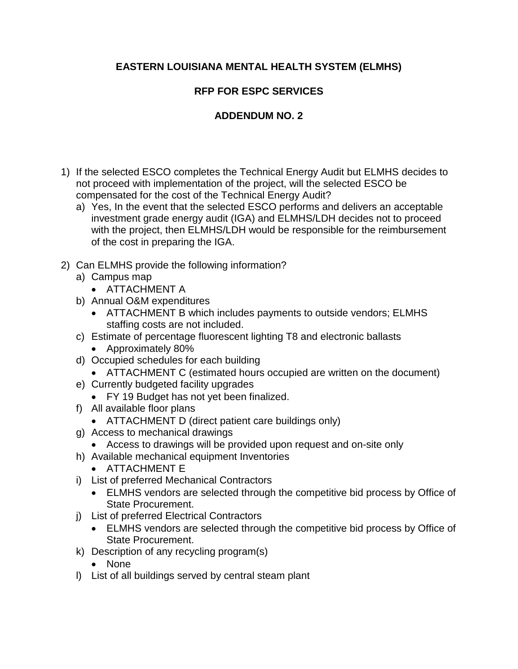## **EASTERN LOUISIANA MENTAL HEALTH SYSTEM (ELMHS)**

## **RFP FOR ESPC SERVICES**

## **ADDENDUM NO. 2**

- 1) If the selected ESCO completes the Technical Energy Audit but ELMHS decides to not proceed with implementation of the project, will the selected ESCO be compensated for the cost of the Technical Energy Audit?
	- a) Yes, In the event that the selected ESCO performs and delivers an acceptable investment grade energy audit (IGA) and ELMHS/LDH decides not to proceed with the project, then ELMHS/LDH would be responsible for the reimbursement of the cost in preparing the IGA.
- 2) Can ELMHS provide the following information?
	- a) Campus map
		- ATTACHMENT A
	- b) Annual O&M expenditures
		- ATTACHMENT B which includes payments to outside vendors; ELMHS staffing costs are not included.
	- c) Estimate of percentage fluorescent lighting T8 and electronic ballasts
		- Approximately 80%
	- d) Occupied schedules for each building
		- ATTACHMENT C (estimated hours occupied are written on the document)
	- e) Currently budgeted facility upgrades
		- FY 19 Budget has not yet been finalized.
	- f) All available floor plans
		- ATTACHMENT D (direct patient care buildings only)
	- g) Access to mechanical drawings
	- Access to drawings will be provided upon request and on-site only
	- h) Available mechanical equipment Inventories
		- ATTACHMENT E
	- i) List of preferred Mechanical Contractors
		- ELMHS vendors are selected through the competitive bid process by Office of State Procurement.
	- j) List of preferred Electrical Contractors
		- ELMHS vendors are selected through the competitive bid process by Office of State Procurement.
	- k) Description of any recycling program(s)
		- None
	- l) List of all buildings served by central steam plant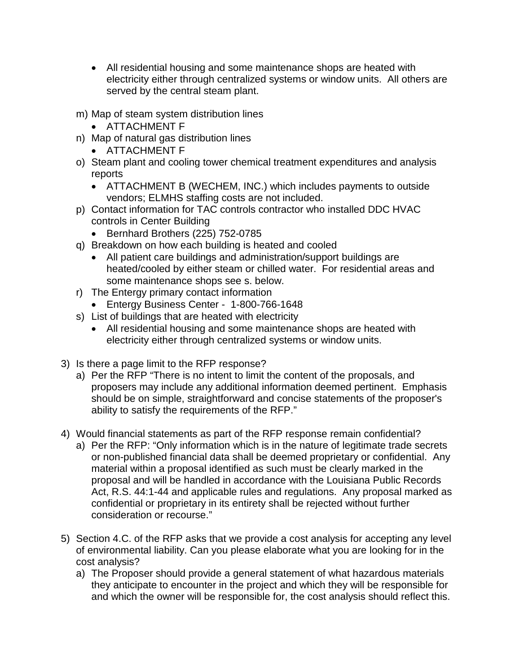- All residential housing and some maintenance shops are heated with electricity either through centralized systems or window units. All others are served by the central steam plant.
- m) Map of steam system distribution lines
	- ATTACHMENT F
- n) Map of natural gas distribution lines
	- ATTACHMENT F
- o) Steam plant and cooling tower chemical treatment expenditures and analysis reports
	- ATTACHMENT B (WECHEM, INC.) which includes payments to outside vendors; ELMHS staffing costs are not included.
- p) Contact information for TAC controls contractor who installed DDC HVAC controls in Center Building
	- Bernhard Brothers (225) 752-0785
- q) Breakdown on how each building is heated and cooled
	- All patient care buildings and administration/support buildings are heated/cooled by either steam or chilled water. For residential areas and some maintenance shops see s. below.
- r) The Entergy primary contact information
	- Entergy Business Center 1-800-766-1648
- s) List of buildings that are heated with electricity
	- All residential housing and some maintenance shops are heated with electricity either through centralized systems or window units.
- 3) Is there a page limit to the RFP response?
	- a) Per the RFP "There is no intent to limit the content of the proposals, and proposers may include any additional information deemed pertinent. Emphasis should be on simple, straightforward and concise statements of the proposer's ability to satisfy the requirements of the RFP."
- 4) Would financial statements as part of the RFP response remain confidential?
	- a) Per the RFP: "Only information which is in the nature of legitimate trade secrets or non-published financial data shall be deemed proprietary or confidential. Any material within a proposal identified as such must be clearly marked in the proposal and will be handled in accordance with the Louisiana Public Records Act, R.S. 44:1-44 and applicable rules and regulations. Any proposal marked as confidential or proprietary in its entirety shall be rejected without further consideration or recourse."
- 5) Section 4.C. of the RFP asks that we provide a cost analysis for accepting any level of environmental liability. Can you please elaborate what you are looking for in the cost analysis?
	- a) The Proposer should provide a general statement of what hazardous materials they anticipate to encounter in the project and which they will be responsible for and which the owner will be responsible for, the cost analysis should reflect this.